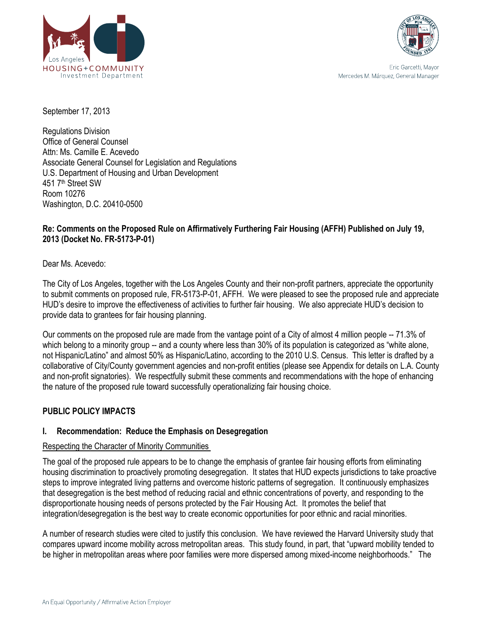



Eric Garcetti, Mavor Mercedes M. Márquez, General Manager

September 17, 2013

Regulations Division Office of General Counsel Attn: Ms. Camille E. Acevedo Associate General Counsel for Legislation and Regulations U.S. Department of Housing and Urban Development 451 7th Street SW Room 10276 Washington, D.C. 20410-0500

## **Re: Comments on the Proposed Rule on Affirmatively Furthering Fair Housing (AFFH) Published on July 19, 2013 (Docket No. FR-5173-P-01)**

Dear Ms. Acevedo:

The City of Los Angeles, together with the Los Angeles County and their non-profit partners, appreciate the opportunity to submit comments on proposed rule, FR-5173-P-01, AFFH. We were pleased to see the proposed rule and appreciate HUD's desire to improve the effectiveness of activities to further fair housing. We also appreciate HUD's decision to provide data to grantees for fair housing planning.

Our comments on the proposed rule are made from the vantage point of a City of almost 4 million people -- 71.3% of which belong to a minority group -- and a county where less than 30% of its population is categorized as "white alone, not Hispanic/Latino" and almost 50% as Hispanic/Latino, according to the 2010 U.S. Census. This letter is drafted by a collaborative of City/County government agencies and non-profit entities (please see Appendix for details on L.A. County and non-profit signatories). We respectfully submit these comments and recommendations with the hope of enhancing the nature of the proposed rule toward successfully operationalizing fair housing choice.

# **PUBLIC POLICY IMPACTS**

# **I. Recommendation: Reduce the Emphasis on Desegregation**

## Respecting the Character of Minority Communities

The goal of the proposed rule appears to be to change the emphasis of grantee fair housing efforts from eliminating housing discrimination to proactively promoting desegregation. It states that HUD expects jurisdictions to take proactive steps to improve integrated living patterns and overcome historic patterns of segregation. It continuously emphasizes that desegregation is the best method of reducing racial and ethnic concentrations of poverty, and responding to the disproportionate housing needs of persons protected by the Fair Housing Act. It promotes the belief that integration/desegregation is the best way to create economic opportunities for poor ethnic and racial minorities.

A number of research studies were cited to justify this conclusion. We have reviewed the Harvard University study that compares upward income mobility across metropolitan areas. This study found, in part, that "upward mobility tended to be higher in metropolitan areas where poor families were more dispersed among mixed-income neighborhoods." The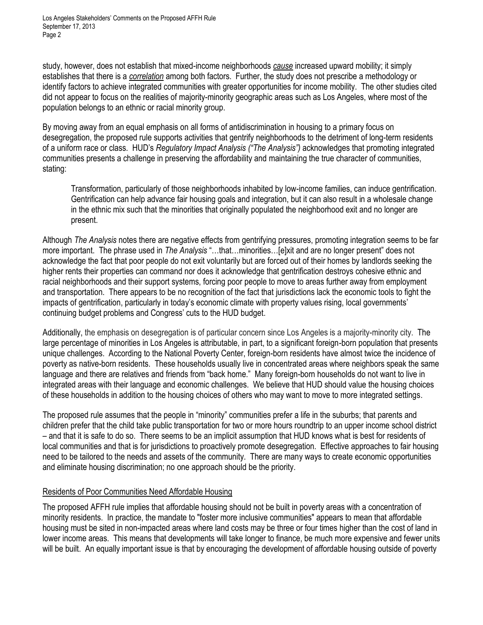study, however, does not establish that mixed-income neighborhoods *cause* increased upward mobility; it simply establishes that there is a *correlation* among both factors. Further, the study does not prescribe a methodology or identify factors to achieve integrated communities with greater opportunities for income mobility. The other studies cited did not appear to focus on the realities of majority-minority geographic areas such as Los Angeles, where most of the population belongs to an ethnic or racial minority group.

By moving away from an equal emphasis on all forms of antidiscrimination in housing to a primary focus on desegregation, the proposed rule supports activities that gentrify neighborhoods to the detriment of long-term residents of a uniform race or class. HUD's *Regulatory Impact Analysis ("The Analysis")* acknowledges that promoting integrated communities presents a challenge in preserving the affordability and maintaining the true character of communities, stating:

Transformation, particularly of those neighborhoods inhabited by low-income families, can induce gentrification. Gentrification can help advance fair housing goals and integration, but it can also result in a wholesale change in the ethnic mix such that the minorities that originally populated the neighborhood exit and no longer are present.

Although *The Analysis* notes there are negative effects from gentrifying pressures, promoting integration seems to be far more important. The phrase used in *The Analysis* "…that…minorities…[e]xit and are no longer present" does not acknowledge the fact that poor people do not exit voluntarily but are forced out of their homes by landlords seeking the higher rents their properties can command nor does it acknowledge that gentrification destroys cohesive ethnic and racial neighborhoods and their support systems, forcing poor people to move to areas further away from employment and transportation. There appears to be no recognition of the fact that jurisdictions lack the economic tools to fight the impacts of gentrification, particularly in today's economic climate with property values rising, local governments' continuing budget problems and Congress' cuts to the HUD budget.

Additionally, the emphasis on desegregation is of particular concern since Los Angeles is a majority-minority city. The large percentage of minorities in Los Angeles is attributable, in part, to a significant foreign-born population that presents unique challenges. According to the National Poverty Center, foreign-born residents have almost twice the incidence of poverty as native-born residents. These households usually live in concentrated areas where neighbors speak the same language and there are relatives and friends from "back home." Many foreign-born households do not want to live in integrated areas with their language and economic challenges. We believe that HUD should value the housing choices of these households in addition to the housing choices of others who may want to move to more integrated settings.

The proposed rule assumes that the people in "minority" communities prefer a life in the suburbs; that parents and children prefer that the child take public transportation for two or more hours roundtrip to an upper income school district – and that it is safe to do so. There seems to be an implicit assumption that HUD knows what is best for residents of local communities and that is for jurisdictions to proactively promote desegregation. Effective approaches to fair housing need to be tailored to the needs and assets of the community. There are many ways to create economic opportunities and eliminate housing discrimination; no one approach should be the priority.

## Residents of Poor Communities Need Affordable Housing

The proposed AFFH rule implies that affordable housing should not be built in poverty areas with a concentration of minority residents. In practice, the mandate to "foster more inclusive communities" appears to mean that affordable housing must be sited in non-impacted areas where land costs may be three or four times higher than the cost of land in lower income areas. This means that developments will take longer to finance, be much more expensive and fewer units will be built. An equally important issue is that by encouraging the development of affordable housing outside of poverty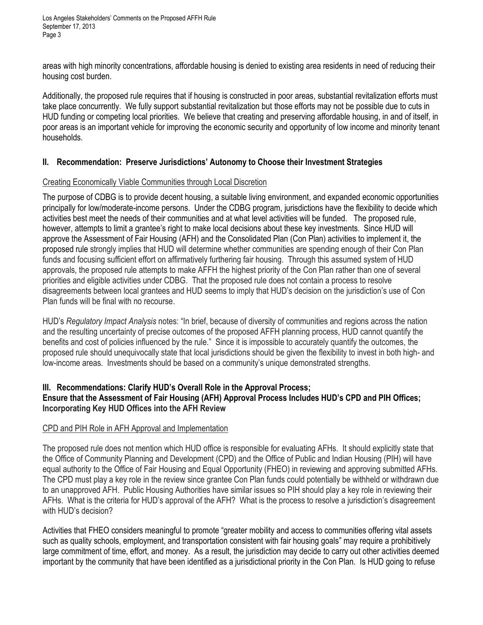areas with high minority concentrations, affordable housing is denied to existing area residents in need of reducing their housing cost burden.

Additionally, the proposed rule requires that if housing is constructed in poor areas, substantial revitalization efforts must take place concurrently. We fully support substantial revitalization but those efforts may not be possible due to cuts in HUD funding or competing local priorities. We believe that creating and preserving affordable housing, in and of itself, in poor areas is an important vehicle for improving the economic security and opportunity of low income and minority tenant households.

## **II. Recommendation: Preserve Jurisdictions' Autonomy to Choose their Investment Strategies**

## Creating Economically Viable Communities through Local Discretion

The purpose of CDBG is to provide decent housing, a suitable living environment, and expanded economic opportunities principally for low/moderate-income persons. Under the CDBG program, jurisdictions have the flexibility to decide which activities best meet the needs of their communities and at what level activities will be funded. The proposed rule, however, attempts to limit a grantee's right to make local decisions about these key investments. Since HUD will approve the Assessment of Fair Housing (AFH) and the Consolidated Plan (Con Plan) activities to implement it, the proposed rule strongly implies that HUD will determine whether communities are spending enough of their Con Plan funds and focusing sufficient effort on affirmatively furthering fair housing. Through this assumed system of HUD approvals, the proposed rule attempts to make AFFH the highest priority of the Con Plan rather than one of several priorities and eligible activities under CDBG. That the proposed rule does not contain a process to resolve disagreements between local grantees and HUD seems to imply that HUD's decision on the jurisdiction's use of Con Plan funds will be final with no recourse.

HUD's *Regulatory Impact Analysis* notes: "In brief, because of diversity of communities and regions across the nation and the resulting uncertainty of precise outcomes of the proposed AFFH planning process, HUD cannot quantify the benefits and cost of policies influenced by the rule." Since it is impossible to accurately quantify the outcomes, the proposed rule should unequivocally state that local jurisdictions should be given the flexibility to invest in both high- and low-income areas. Investments should be based on a community's unique demonstrated strengths.

## **III. Recommendations: Clarify HUD's Overall Role in the Approval Process; Ensure that the Assessment of Fair Housing (AFH) Approval Process Includes HUD's CPD and PIH Offices; Incorporating Key HUD Offices into the AFH Review**

## CPD and PIH Role in AFH Approval and Implementation

The proposed rule does not mention which HUD office is responsible for evaluating AFHs. It should explicitly state that the Office of Community Planning and Development (CPD) and the Office of Public and Indian Housing (PIH) will have equal authority to the Office of Fair Housing and Equal Opportunity (FHEO) in reviewing and approving submitted AFHs. The CPD must play a key role in the review since grantee Con Plan funds could potentially be withheld or withdrawn due to an unapproved AFH. Public Housing Authorities have similar issues so PIH should play a key role in reviewing their AFHs. What is the criteria for HUD's approval of the AFH? What is the process to resolve a jurisdiction's disagreement with HUD's decision?

Activities that FHEO considers meaningful to promote "greater mobility and access to communities offering vital assets such as quality schools, employment, and transportation consistent with fair housing goals" may require a prohibitively large commitment of time, effort, and money. As a result, the jurisdiction may decide to carry out other activities deemed important by the community that have been identified as a jurisdictional priority in the Con Plan. Is HUD going to refuse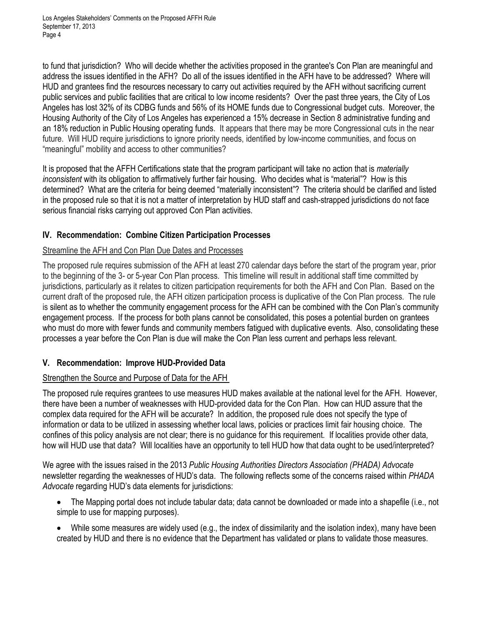to fund that jurisdiction? Who will decide whether the activities proposed in the grantee's Con Plan are meaningful and address the issues identified in the AFH? Do all of the issues identified in the AFH have to be addressed? Where will HUD and grantees find the resources necessary to carry out activities required by the AFH without sacrificing current public services and public facilities that are critical to low income residents? Over the past three years, the City of Los Angeles has lost 32% of its CDBG funds and 56% of its HOME funds due to Congressional budget cuts. Moreover, the Housing Authority of the City of Los Angeles has experienced a 15% decrease in Section 8 administrative funding and an 18% reduction in Public Housing operating funds. It appears that there may be more Congressional cuts in the near future. Will HUD require jurisdictions to ignore priority needs, identified by low-income communities, and focus on "meaningful" mobility and access to other communities?

It is proposed that the AFFH Certifications state that the program participant will take no action that is *materially inconsistent* with its obligation to affirmatively further fair housing. Who decides what is "material"? How is this determined? What are the criteria for being deemed "materially inconsistent"? The criteria should be clarified and listed in the proposed rule so that it is not a matter of interpretation by HUD staff and cash-strapped jurisdictions do not face serious financial risks carrying out approved Con Plan activities.

## **IV. Recommendation: Combine Citizen Participation Processes**

## Streamline the AFH and Con Plan Due Dates and Processes

The proposed rule requires submission of the AFH at least 270 calendar days before the start of the program year, prior to the beginning of the 3- or 5-year Con Plan process. This timeline will result in additional staff time committed by jurisdictions, particularly as it relates to citizen participation requirements for both the AFH and Con Plan. Based on the current draft of the proposed rule, the AFH citizen participation process is duplicative of the Con Plan process. The rule is silent as to whether the community engagement process for the AFH can be combined with the Con Plan's community engagement process. If the process for both plans cannot be consolidated, this poses a potential burden on grantees who must do more with fewer funds and community members fatigued with duplicative events. Also, consolidating these processes a year before the Con Plan is due will make the Con Plan less current and perhaps less relevant.

## **V. Recommendation: Improve HUD-Provided Data**

## Strengthen the Source and Purpose of Data for the AFH

The proposed rule requires grantees to use measures HUD makes available at the national level for the AFH. However, there have been a number of weaknesses with HUD-provided data for the Con Plan. How can HUD assure that the complex data required for the AFH will be accurate? In addition, the proposed rule does not specify the type of information or data to be utilized in assessing whether local laws, policies or practices limit fair housing choice. The confines of this policy analysis are not clear; there is no guidance for this requirement. If localities provide other data, how will HUD use that data? Will localities have an opportunity to tell HUD how that data ought to be used/interpreted?

We agree with the issues raised in the 2013 *Public Housing Authorities Directors Association (PHADA) Advocate* newsletter regarding the weaknesses of HUD's data. The following reflects some of the concerns raised within *PHADA Advocate* regarding HUD's data elements for jurisdictions:

- The Mapping portal does not include tabular data; data cannot be downloaded or made into a shapefile (i.e., not simple to use for mapping purposes).
- While some measures are widely used (e.g., the index of dissimilarity and the isolation index), many have been created by HUD and there is no evidence that the Department has validated or plans to validate those measures.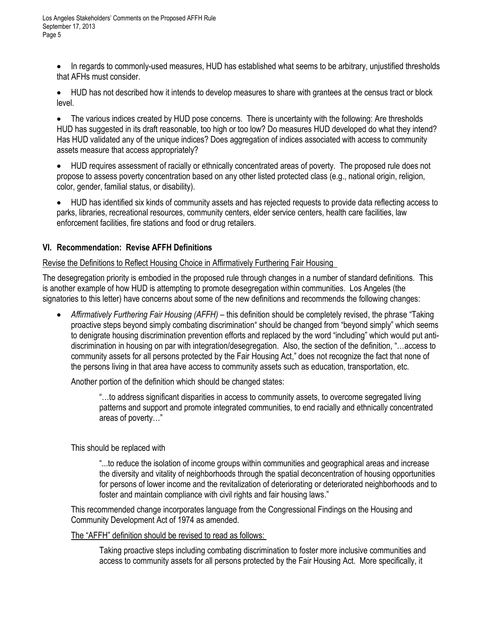- In regards to commonly-used measures, HUD has established what seems to be arbitrary, unjustified thresholds that AFHs must consider.
- HUD has not described how it intends to develop measures to share with grantees at the census tract or block level.

 The various indices created by HUD pose concerns. There is uncertainty with the following: Are thresholds HUD has suggested in its draft reasonable, too high or too low? Do measures HUD developed do what they intend? Has HUD validated any of the unique indices? Does aggregation of indices associated with access to community assets measure that access appropriately?

- HUD requires assessment of racially or ethnically concentrated areas of poverty. The proposed rule does not propose to assess poverty concentration based on any other listed protected class (e.g., national origin, religion, color, gender, familial status, or disability).
- HUD has identified six kinds of community assets and has rejected requests to provide data reflecting access to parks, libraries, recreational resources, community centers, elder service centers, health care facilities, law enforcement facilities, fire stations and food or drug retailers.

# **VI. Recommendation: Revise AFFH Definitions**

# Revise the Definitions to Reflect Housing Choice in Affirmatively Furthering Fair Housing

The desegregation priority is embodied in the proposed rule through changes in a number of standard definitions. This is another example of how HUD is attempting to promote desegregation within communities. Los Angeles (the signatories to this letter) have concerns about some of the new definitions and recommends the following changes:

 *Affirmatively Furthering Fair Housing (AFFH)* – this definition should be completely revised, the phrase "Taking proactive steps beyond simply combating discrimination" should be changed from "beyond simply" which seems to denigrate housing discrimination prevention efforts and replaced by the word "including" which would put antidiscrimination in housing on par with integration/desegregation. Also, the section of the definition, "…access to community assets for all persons protected by the Fair Housing Act," does not recognize the fact that none of the persons living in that area have access to community assets such as education, transportation, etc.

Another portion of the definition which should be changed states:

"…to address significant disparities in access to community assets, to overcome segregated living patterns and support and promote integrated communities, to end racially and ethnically concentrated areas of poverty…"

This should be replaced with

"...to reduce the isolation of income groups within communities and geographical areas and increase the diversity and vitality of neighborhoods through the spatial deconcentration of housing opportunities for persons of lower income and the revitalization of deteriorating or deteriorated neighborhoods and to foster and maintain compliance with civil rights and fair housing laws."

This recommended change incorporates language from the Congressional Findings on the Housing and Community Development Act of 1974 as amended.

The "AFFH" definition should be revised to read as follows:

Taking proactive steps including combating discrimination to foster more inclusive communities and access to community assets for all persons protected by the Fair Housing Act. More specifically, it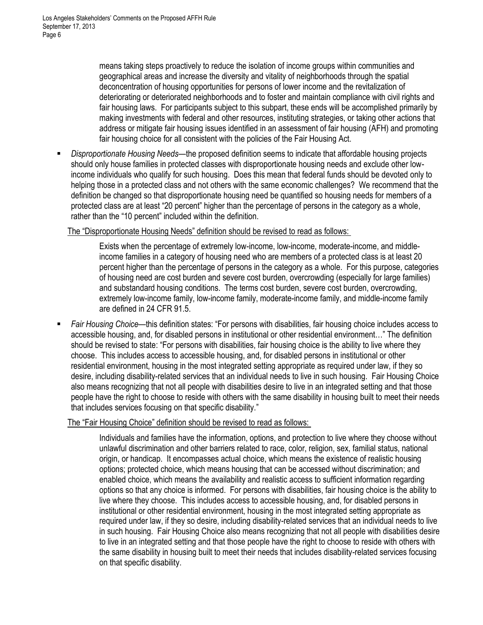means taking steps proactively to reduce the isolation of income groups within communities and geographical areas and increase the diversity and vitality of neighborhoods through the spatial deconcentration of housing opportunities for persons of lower income and the revitalization of deteriorating or deteriorated neighborhoods and to foster and maintain compliance with civil rights and fair housing laws. For participants subject to this subpart, these ends will be accomplished primarily by making investments with federal and other resources, instituting strategies, or taking other actions that address or mitigate fair housing issues identified in an assessment of fair housing (AFH) and promoting fair housing choice for all consistent with the policies of the Fair Housing Act.

 *Disproportionate Housing Needs—*the proposed definition seems to indicate that affordable housing projects should only house families in protected classes with disproportionate housing needs and exclude other lowincome individuals who qualify for such housing. Does this mean that federal funds should be devoted only to helping those in a protected class and not others with the same economic challenges? We recommend that the definition be changed so that disproportionate housing need be quantified so housing needs for members of a protected class are at least "20 percent" higher than the percentage of persons in the category as a whole, rather than the "10 percent" included within the definition.

#### The "Disproportionate Housing Needs" definition should be revised to read as follows:

Exists when the percentage of extremely low-income, low-income, moderate-income, and middleincome families in a category of housing need who are members of a protected class is at least 20 percent higher than the percentage of persons in the category as a whole. For this purpose, categories of housing need are cost burden and severe cost burden, overcrowding (especially for large families) and substandard housing conditions. The terms cost burden, severe cost burden, overcrowding, extremely low-income family, low-income family, moderate-income family, and middle-income family are defined in 24 CFR 91.5.

 *Fair Housing Choice—*this definition states: "For persons with disabilities, fair housing choice includes access to accessible housing, and, for disabled persons in institutional or other residential environment…" The definition should be revised to state: "For persons with disabilities, fair housing choice is the ability to live where they choose. This includes access to accessible housing, and, for disabled persons in institutional or other residential environment, housing in the most integrated setting appropriate as required under law, if they so desire, including disability-related services that an individual needs to live in such housing. Fair Housing Choice also means recognizing that not all people with disabilities desire to live in an integrated setting and that those people have the right to choose to reside with others with the same disability in housing built to meet their needs that includes services focusing on that specific disability."

## The "Fair Housing Choice" definition should be revised to read as follows:

Individuals and families have the information, options, and protection to live where they choose without unlawful discrimination and other barriers related to race, color, religion, sex, familial status, national origin, or handicap. It encompasses actual choice, which means the existence of realistic housing options; protected choice, which means housing that can be accessed without discrimination; and enabled choice, which means the availability and realistic access to sufficient information regarding options so that any choice is informed. For persons with disabilities, fair housing choice is the ability to live where they choose. This includes access to accessible housing, and, for disabled persons in institutional or other residential environment, housing in the most integrated setting appropriate as required under law, if they so desire, including disability-related services that an individual needs to live in such housing. Fair Housing Choice also means recognizing that not all people with disabilities desire to live in an integrated setting and that those people have the right to choose to reside with others with the same disability in housing built to meet their needs that includes disability-related services focusing on that specific disability.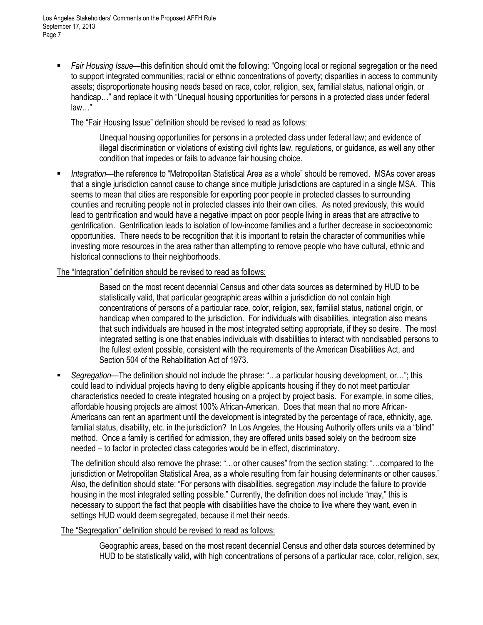*Fair Housing Issue—*this definition should omit the following: "Ongoing local or regional segregation or the need to support integrated communities; racial or ethnic concentrations of poverty; disparities in access to community assets; disproportionate housing needs based on race, color, religion, sex, familial status, national origin, or handicap…" and replace it with "Unequal housing opportunities for persons in a protected class under federal law…"

#### The "Fair Housing Issue" definition should be revised to read as follows:

Unequal housing opportunities for persons in a protected class under federal law; and evidence of illegal discrimination or violations of existing civil rights law, regulations, or guidance, as well any other condition that impedes or fails to advance fair housing choice.

 *Integration—*the reference to "Metropolitan Statistical Area as a whole" should be removed. MSAs cover areas that a single jurisdiction cannot cause to change since multiple jurisdictions are captured in a single MSA. This seems to mean that cities are responsible for exporting poor people in protected classes to surrounding counties and recruiting people not in protected classes into their own cities. As noted previously, this would lead to gentrification and would have a negative impact on poor people living in areas that are attractive to gentrification. Gentrification leads to isolation of low-income families and a further decrease in socioeconomic opportunities. There needs to be recognition that it is important to retain the character of communities while investing more resources in the area rather than attempting to remove people who have cultural, ethnic and historical connections to their neighborhoods.

## The "Integration" definition should be revised to read as follows:

Based on the most recent decennial Census and other data sources as determined by HUD to be statistically valid, that particular geographic areas within a jurisdiction do not contain high concentrations of persons of a particular race, color, religion, sex, familial status, national origin, or handicap when compared to the jurisdiction. For individuals with disabilities, integration also means that such individuals are housed in the most integrated setting appropriate, if they so desire. The most integrated setting is one that enables individuals with disabilities to interact with nondisabled persons to the fullest extent possible, consistent with the requirements of the American Disabilities Act, and Section 504 of the Rehabilitation Act of 1973.

 *Segregation—*The definition should not include the phrase: "…a particular housing development, or…"; this could lead to individual projects having to deny eligible applicants housing if they do not meet particular characteristics needed to create integrated housing on a project by project basis. For example, in some cities, affordable housing projects are almost 100% African-American. Does that mean that no more African-Americans can rent an apartment until the development is integrated by the percentage of race, ethnicity, age, familial status, disability, etc. in the jurisdiction? In Los Angeles, the Housing Authority offers units via a "blind" method. Once a family is certified for admission, they are offered units based solely on the bedroom size needed – to factor in protected class categories would be in effect, discriminatory.

The definition should also remove the phrase: "…or other causes" from the section stating: "…compared to the jurisdiction or Metropolitan Statistical Area, as a whole resulting from fair housing determinants or other causes." Also, the definition should state: "For persons with disabilities, segregation *may* include the failure to provide housing in the most integrated setting possible." Currently, the definition does not include "may," this is necessary to support the fact that people with disabilities have the choice to live where they want, even in settings HUD would deem segregated, because it met their needs.

## The "Segregation" definition should be revised to read as follows:

Geographic areas, based on the most recent decennial Census and other data sources determined by HUD to be statistically valid, with high concentrations of persons of a particular race, color, religion, sex,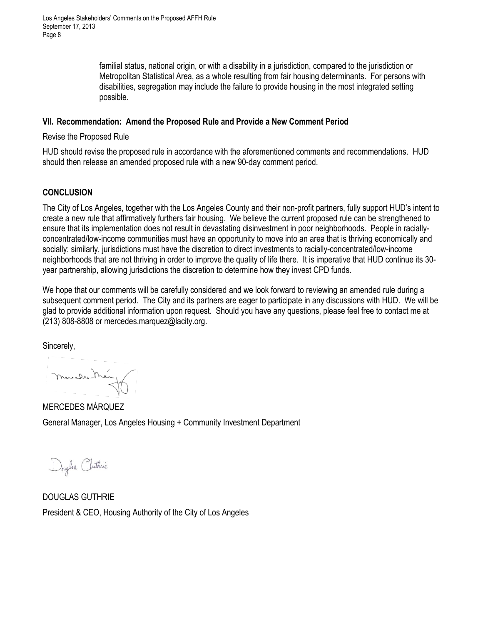> familial status, national origin, or with a disability in a jurisdiction, compared to the jurisdiction or Metropolitan Statistical Area, as a whole resulting from fair housing determinants. For persons with disabilities, segregation may include the failure to provide housing in the most integrated setting possible.

#### **VII. Recommendation: Amend the Proposed Rule and Provide a New Comment Period**

#### Revise the Proposed Rule

HUD should revise the proposed rule in accordance with the aforementioned comments and recommendations. HUD should then release an amended proposed rule with a new 90-day comment period.

## **CONCLUSION**

The City of Los Angeles, together with the Los Angeles County and their non-profit partners, fully support HUD's intent to create a new rule that affirmatively furthers fair housing. We believe the current proposed rule can be strengthened to ensure that its implementation does not result in devastating disinvestment in poor neighborhoods. People in raciallyconcentrated/low-income communities must have an opportunity to move into an area that is thriving economically and socially; similarly, jurisdictions must have the discretion to direct investments to racially-concentrated/low-income neighborhoods that are not thriving in order to improve the quality of life there. It is imperative that HUD continue its 30 year partnership, allowing jurisdictions the discretion to determine how they invest CPD funds.

We hope that our comments will be carefully considered and we look forward to reviewing an amended rule during a subsequent comment period. The City and its partners are eager to participate in any discussions with HUD. We will be glad to provide additional information upon request. Should you have any questions, please feel free to contact me at (213) 808-8808 or [mercedes.marquez@lacity.org.](mailto:mercedes.marquez@lacity.org)

Sincerely,

meneles Mai

MERCEDES MÁRQUEZ General Manager, Los Angeles Housing + Community Investment Department

Douglas Cluthnie

DOUGLAS GUTHRIE President & CEO, Housing Authority of the City of Los Angeles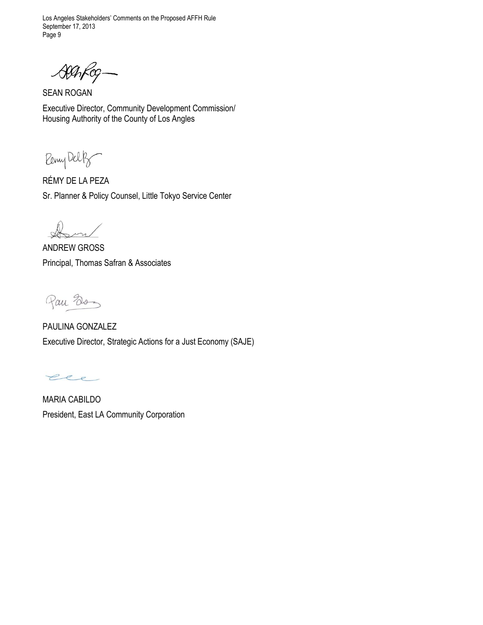Alakog

SEAN ROGAN Executive Director, Community Development Commission/ Housing Authority of the County of Los Angles

Peny Delfs

RÉMY DE LA PEZA Sr. Planner & Policy Counsel, Little Tokyo Service Center

ANDREW GROSS Principal, Thomas Safran & Associates

Pau Story

PAULINA GONZALEZ Executive Director, Strategic Actions for a Just Economy (SAJE)

ecc

MARIA CABILDO President, East LA Community Corporation